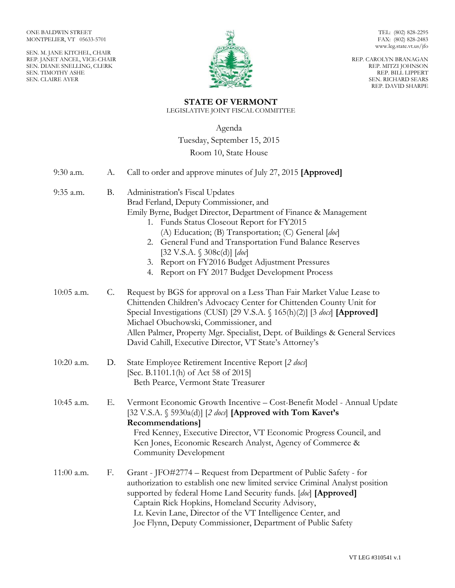SEN. M. JANE KITCHEL, CHAIR REP. JANET ANCEL, VICE-CHAIR SEN. DIANE SNELLING, CLERK SEN. TIMOTHY ASHE SEN. CLAIRE AYER



TEL: (802) 828-2295 FAX: (802) 828-2483 www.leg.state.vt.us/jfo

REP. CAROLYN BRANAGAN REP. MITZI JOHNSON REP. BILL LIPPERT SEN. RICHARD SEARS REP. DAVID SHARPE

# **STATE OF VERMONT**

LEGISLATIVE JOINT FISCAL COMMITTEE

Agenda

Tuesday, September 15, 2015

## Room 10, State House

| 9:30 a.m.  | А.        | Call to order and approve minutes of July 27, 2015 [Approved]                                                                                                                                                                                                                                                                                                                                                                                        |
|------------|-----------|------------------------------------------------------------------------------------------------------------------------------------------------------------------------------------------------------------------------------------------------------------------------------------------------------------------------------------------------------------------------------------------------------------------------------------------------------|
| 9:35 a.m.  | <b>B.</b> | Administration's Fiscal Updates<br>Brad Ferland, Deputy Commissioner, and<br>Emily Byrne, Budget Director, Department of Finance & Management<br>1. Funds Status Closeout Report for FY2015<br>(A) Education; (B) Transportation; (C) General [doc]<br>2. General Fund and Transportation Fund Balance Reserves<br>[32 V.S.A. § 308c(d)] [doc]<br>3. Report on FY2016 Budget Adjustment Pressures<br>4. Report on FY 2017 Budget Development Process |
| 10:05 a.m. | $C$ .     | Request by BGS for approval on a Less Than Fair Market Value Lease to<br>Chittenden Children's Advocacy Center for Chittenden County Unit for<br>Special Investigations (CUSI) [29 V.S.A. § 165(h)(2)] [3 docs] [Approved]<br>Michael Obuchowski, Commissioner, and<br>Allen Palmer, Property Mgr. Specialist, Dept. of Buildings & General Services<br>David Cahill, Executive Director, VT State's Attorney's                                      |
| 10:20 a.m. | D.        | State Employee Retirement Incentive Report [2 docs]<br>[Sec. B.1101.1(h) of Act 58 of 2015]<br>Beth Pearce, Vermont State Treasurer                                                                                                                                                                                                                                                                                                                  |
| 10:45 a.m. | Е.        | Vermont Economic Growth Incentive - Cost-Benefit Model - Annual Update<br>[32 V.S.A. $\S$ 5930a(d)] [2 <i>docs</i> ] [Approved with Tom Kavet's<br>Recommendations]<br>Fred Kenney, Executive Director, VT Economic Progress Council, and<br>Ken Jones, Economic Research Analyst, Agency of Commerce &<br>Community Development                                                                                                                     |
| 11:00 a.m. | F.        | Grant - JFO#2774 - Request from Department of Public Safety - for<br>authorization to establish one new limited service Criminal Analyst position<br>supported by federal Home Land Security funds. [doc] [Approved]<br>Captain Rick Hopkins, Homeland Security Advisory,<br>Lt. Kevin Lane, Director of the VT Intelligence Center, and<br>Joe Flynn, Deputy Commissioner, Department of Public Safety                                              |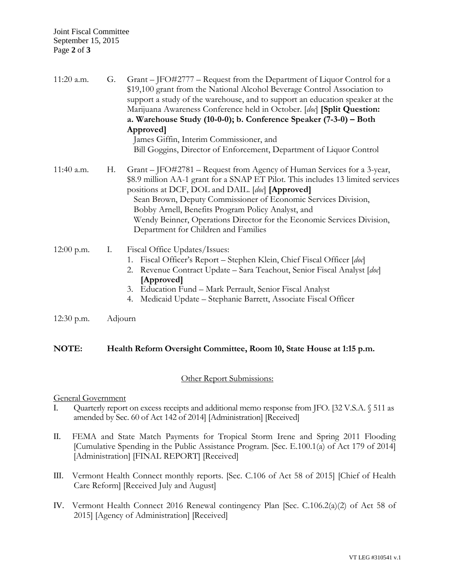| 11:20 a.m. | G. | Grant – JFO#2777 – Request from the Department of Liquor Control for a<br>\$19,100 grant from the National Alcohol Beverage Control Association to<br>support a study of the warehouse, and to support an education speaker at the<br>Marijuana Awareness Conference held in October. [doc] [Split Question:<br>a. Warehouse Study (10-0-0); b. Conference Speaker (7-3-0) – Both<br>Approved]<br>James Giffin, Interim Commissioner, and<br>Bill Goggins, Director of Enforcement, Department of Liquor Control |
|------------|----|------------------------------------------------------------------------------------------------------------------------------------------------------------------------------------------------------------------------------------------------------------------------------------------------------------------------------------------------------------------------------------------------------------------------------------------------------------------------------------------------------------------|
| 11:40 a.m. | Н. | Grant – JFO#2781 – Request from Agency of Human Services for a 3-year,<br>\$8.9 million AA-1 grant for a SNAP ET Pilot. This includes 13 limited services<br>positions at DCF, DOL and DAIL. [doc] [Approved]<br>Sean Brown, Deputy Commissioner of Economic Services Division,<br>Bobby Arnell, Benefits Program Policy Analyst, and<br>Wendy Beinner, Operations Director for the Economic Services Division,<br>Department for Children and Families                                                          |
| 12:00 p.m. | Ι. | Fiscal Office Updates/Issues:<br>Fiscal Officer's Report - Stephen Klein, Chief Fiscal Officer [doc]<br>1.<br>Revenue Contract Update – Sara Teachout, Senior Fiscal Analyst [doc]<br>2.<br>[Approved]<br>Education Fund - Mark Perrault, Senior Fiscal Analyst<br>3.<br>$\sim$ $\sim$ $\sim$ $\sim$ $\sim$ $\sim$ $\sim$                                                                                                                                                                                        |

4. Medicaid Update – Stephanie Barrett, Associate Fiscal Officer

12:30 p.m. Adjourn

## **NOTE: Health Reform Oversight Committee, Room 10, State House at 1:15 p.m.**

## Other Report Submissions:

### General Government

- I. Quarterly report on excess receipts and additional memo response from JFO. [32 V.S.A. § 511 as amended by Sec. 60 of Act 142 of 2014] [Administration] [Received]
- II. FEMA and State Match Payments for Tropical Storm Irene and Spring 2011 Flooding [Cumulative Spending in the Public Assistance Program. [Sec. E.100.1(a) of Act 179 of 2014] [Administration] [FINAL REPORT] [Received]
- III. Vermont Health Connect monthly reports. [Sec. C.106 of Act 58 of 2015] [Chief of Health Care Reform] [Received July and August]
- IV. Vermont Health Connect 2016 Renewal contingency Plan [Sec. C.106.2(a)(2) of Act 58 of 2015] [Agency of Administration] [Received]